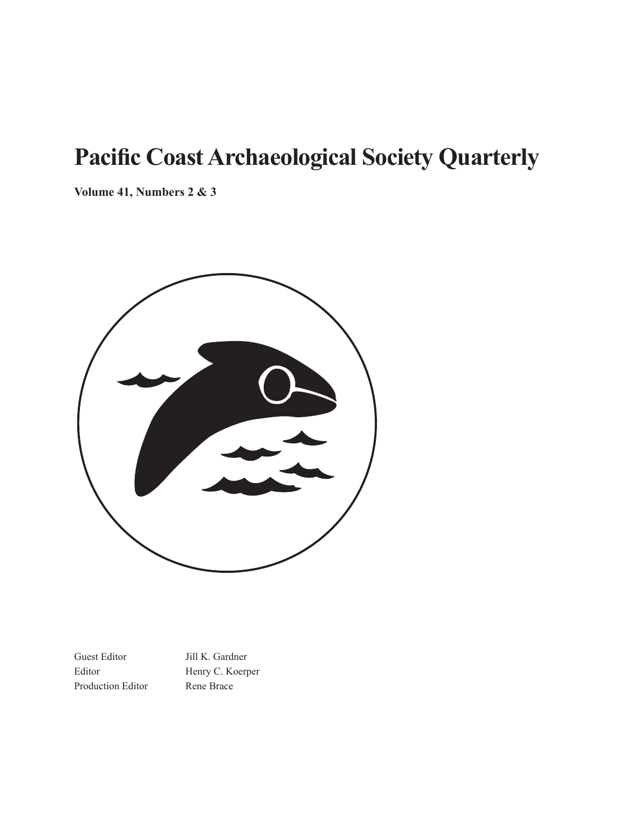# **Pacific Coast Archaeological Society Quarterly**

**Volume 41, Numbers 2 & 3** 



Guest Editor Jill K. Gardner Editor Henry C. Koerper Production Editor Rene Brace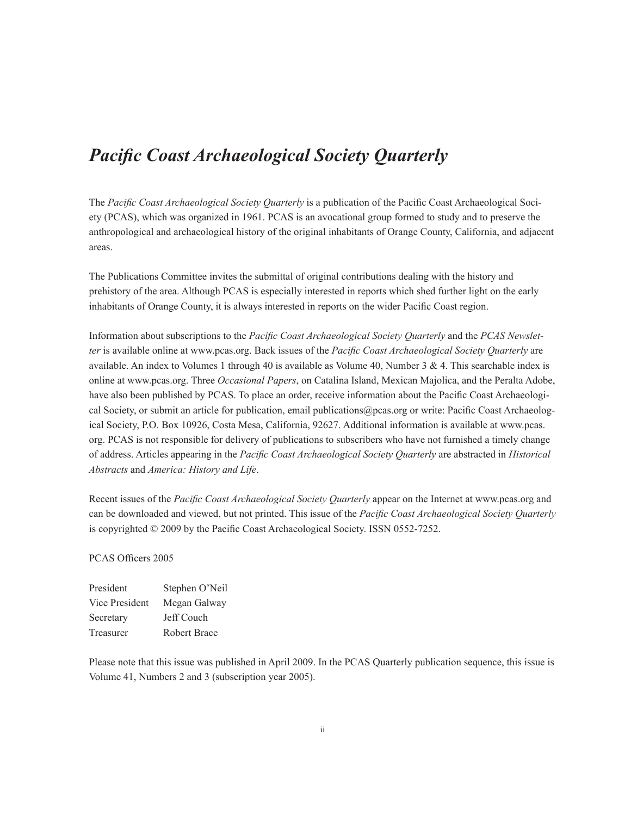# *Pacific Coast Archaeological Society Quarterly*

The *Pacific Coast Archaeological Society Quarterly* is a publication of the Pacific Coast Archaeological Society (PCAS), which was organized in 1961. PCAS is an avocational group formed to study and to preserve the anthropological and archaeological history of the original inhabitants of Orange County, California, and adjacent areas.

The Publications Committee invites the submittal of original contributions dealing with the history and prehistory of the area. Although PCAS is especially interested in reports which shed further light on the early inhabitants of Orange County, it is always interested in reports on the wider Pacific Coast region.

Information about subscriptions to the *Pacific Coast Archaeological Society Quarterly* and the *PCAS Newsletter* is available online at www.pcas.org. Back issues of the *Pacific Coast Archaeological Society Quarterly* are available. An index to Volumes 1 through 40 is available as Volume 40, Number 3 & 4. This searchable index is online at www.pcas.org. Three *Occasional Papers*, on Catalina Island, Mexican Majolica, and the Peralta Adobe, have also been published by PCAS. To place an order, receive information about the Pacific Coast Archaeological Society, or submit an article for publication, email publications@pcas.org or write: Pacific Coast Archaeological Society, P.O. Box 10926, Costa Mesa, California, 92627. Additional information is available at www.pcas. org. PCAS is not responsible for delivery of publications to subscribers who have not furnished a timely change of address. Articles appearing in the *Pacific Coast Archaeological Society Quarterly* are abstracted in *Historical Abstracts* and *America: History and Life*.

Recent issues of the *Pacific Coast Archaeological Society Quarterly* appear on the Internet at www.pcas.org and can be downloaded and viewed, but not printed. This issue of the *Pacific Coast Archaeological Society Quarterly*  is copyrighted © 2009 by the Pacific Coast Archaeological Society. ISSN 0552-7252.

#### PCAS Officers 2005

| President        | Stephen O'Neil |
|------------------|----------------|
| Vice President   | Megan Galway   |
| Secretary        | Jeff Couch     |
| <b>Treasurer</b> | Robert Brace   |

Please note that this issue was published in April 2009. In the PCAS Quarterly publication sequence, this issue is Volume 41, Numbers 2 and 3 (subscription year 2005).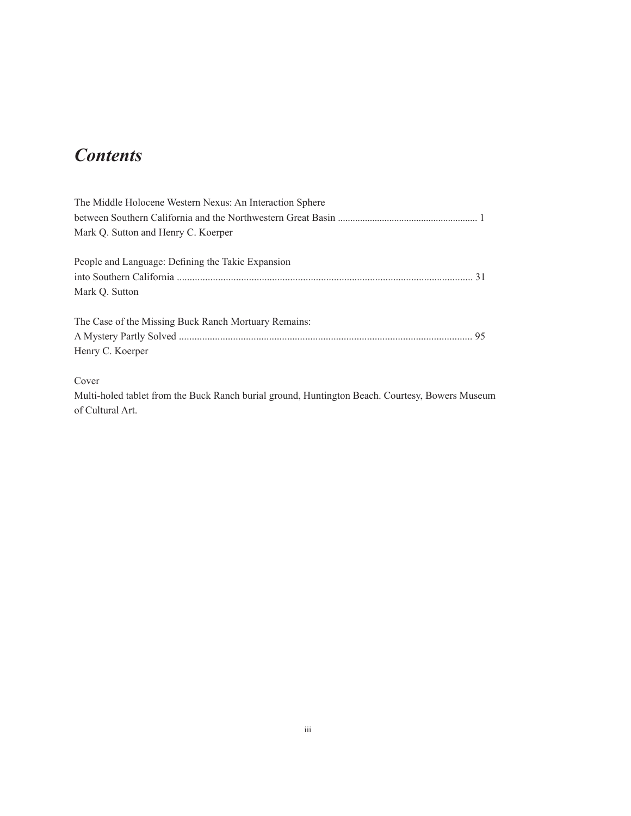# *Contents*

| The Middle Holocene Western Nexus: An Interaction Sphere |
|----------------------------------------------------------|
|                                                          |
| Mark O. Sutton and Henry C. Koerper                      |
| People and Language: Defining the Takic Expansion        |
|                                                          |
|                                                          |
| Mark Q. Sutton                                           |
| The Case of the Missing Buck Ranch Mortuary Remains:     |
|                                                          |
| Henry C. Koerper                                         |
|                                                          |

Cover

Multi-holed tablet from the Buck Ranch burial ground, Huntington Beach. Courtesy, Bowers Museum of Cultural Art.